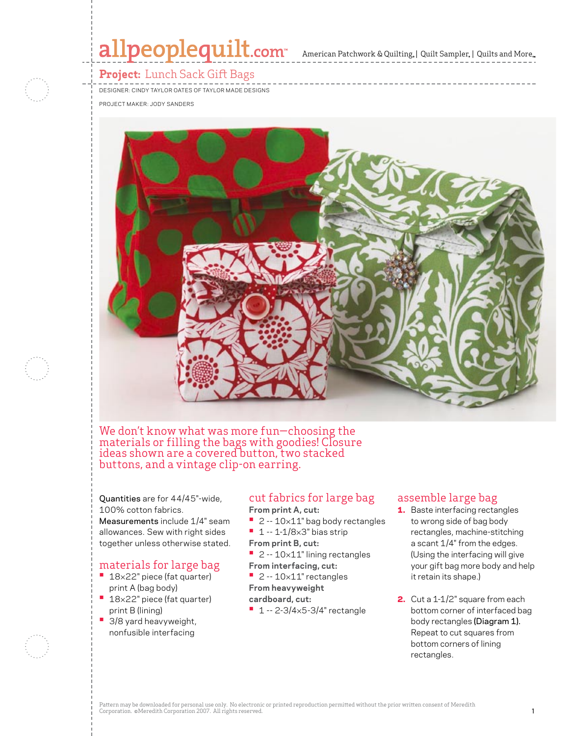# $\textbf{alpeople}$ quilt.com<sup>®</sup> American Patchwork & Quilting, | Quilt Sampler, | Quilts and More...

#### **Project:** Lunch Sack Gift Bags

Designer: Cindy Taylor Oates of Taylor Made Designs

Project Maker: Jody Sanders



We don't know what was more fun—choosing the materials or filling the bags with goodies! Closure ideas shown are a covered button, two stacked buttons, and a vintage clip-on earring.

Quantities are for 44/45"-wide, 100% cotton fabrics. Measurements include 1/4" seam allowances. Sew with right sides together unless otherwise stated.

#### materials for large bag

- 18×22" piece (fat quarter) print A (bag body)
- 18×22" piece (fat quarter) print B (lining)
- 3/8 yard heavyweight, nonfusible interfacing

## cut fabrics for large bag

**From print A, cut:**

- 2 -- 10×11" bag body rectangles
- 1 -- 1-1/8×3" bias strip
- **From print B, cut:**
- 2 -- 10×11" lining rectangles
- **From interfacing, cut:**
- 2 -- 10×11" rectangles
- **From heavyweight**
- **cardboard, cut:**
- 1 -- 2-3/4×5-3/4" rectangle

## assemble large bag

- **1.** Baste interfacing rectangles to wrong side of bag body rectangles, machine-stitching a scant 1/4" from the edges. (Using the interfacing will give your gift bag more body and help it retain its shape.)
- 2. Cut a 1-1/2" square from each bottom corner of interfaced bag body rectangles (Diagram 1). Repeat to cut squares from bottom corners of lining rectangles.